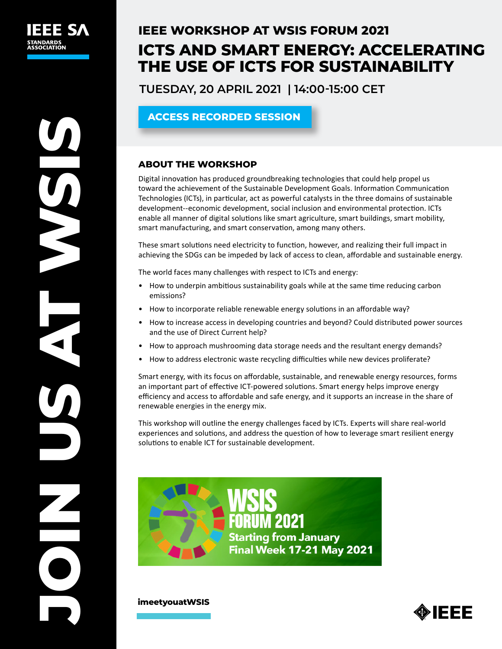# **IEEE WORKSHOP AT WSIS FORUM 2021 ICTS AND SMART ENERGY: ACCELERATING THE USE OF ICTS FOR SUSTAINABILITY**

**TUESDAY, 20 APRIL 2021 | 14:00-15:00 CET**

# **[ACCESS RECORDED SESSION](https://www.itu.int/net4/wsis/forum/2021/Agenda/Session/262)**

## **ABOUT THE WORKSHOP**

Digital innovation has produced groundbreaking technologies that could help propel us toward the achievement of the Sustainable Development Goals. Information Communication Technologies (ICTs), in particular, act as powerful catalysts in the three domains of sustainable development--economic development, social inclusion and environmental protection. ICTs enable all manner of digital solutions like smart agriculture, smart buildings, smart mobility, smart manufacturing, and smart conservation, among many others.

These smart solutions need electricity to function, however, and realizing their full impact in achieving the SDGs can be impeded by lack of access to clean, affordable and sustainable energy.

The world faces many challenges with respect to ICTs and energy:

- How to underpin ambitious sustainability goals while at the same time reducing carbon emissions?
- How to incorporate reliable renewable energy solutions in an affordable way?
- How to increase access in developing countries and beyond? Could distributed power sources and the use of Direct Current help?
- How to approach mushrooming data storage needs and the resultant energy demands?
- How to address electronic waste recycling difficulties while new devices proliferate?

Smart energy, with its focus on affordable, sustainable, and renewable energy resources, forms an important part of effective ICT-powered solutions. Smart energy helps improve energy efficiency and access to affordable and safe energy, and it supports an increase in the share of renewable energies in the energy mix.

This workshop will outline the energy challenges faced by ICTs. Experts will share real-world experiences and solutions, and address the question of how to leverage smart resilient energy solutions to enable ICT for sustainable development.



**[imeetyouatWSIS](https://www.itu.int/net4/wsis/forum/2021/)**